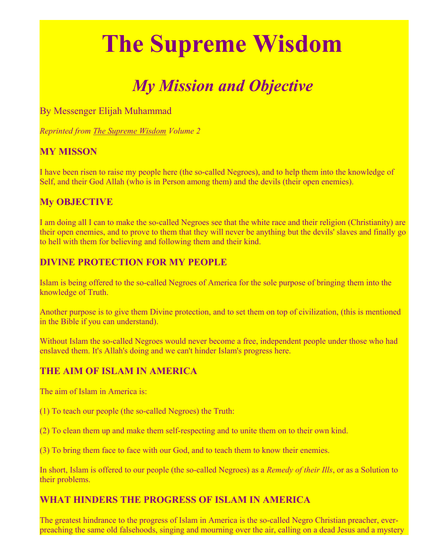# **The Supreme Wisdom**

# *My Mission and Objective*

## By Messenger Elijah Muhammad

*Reprinted from The Supreme Wisdom Volume 2*

### **MY MISSON**

I have been risen to raise my people here (the so-called Negroes), and to help them into the knowledge of Self, and their God Allah (who is in Person among them) and the devils (their open enemies).

#### **My OBJECTIVE**

I am doing all I can to make the so-called Negroes see that the white race and their religion (Christianity) are their open enemies, and to prove to them that they will never be anything but the devils' slaves and finally go to hell with them for believing and following them and their kind.

#### **DIVINE PROTECTION FOR MY PEOPLE**

Islam is being offered to the so-called Negroes of America for the sole purpose of bringing them into the knowledge of Truth.

Another purpose is to give them Divine protection, and to set them on top of civilization, (this is mentioned in the Bible if you can understand).

Without Islam the so-called Negroes would never become a free, independent people under those who had enslaved them. It's Allah's doing and we can't hinder Islam's progress here.

#### **THE AIM OF ISLAM IN AMERICA**

The aim of Islam in America is:

(1) To teach our people (the so-called Negroes) the Truth:

(2) To clean them up and make them self-respecting and to unite them on to their own kind.

(3) To bring them face to face with our God, and to teach them to know their enemies.

In short, Islam is offered to our people (the so-called Negroes) as a *Remedy of their Ills*, or as a Solution to their problems.

#### **WHAT HINDERS THE PROGRESS OF ISLAM IN AMERICA**

The greatest hindrance to the progress of Islam in America is the so-called Negro Christian preacher, everpreaching the same old falsehoods, singing and mourning over the air, calling on a dead Jesus and a mystery